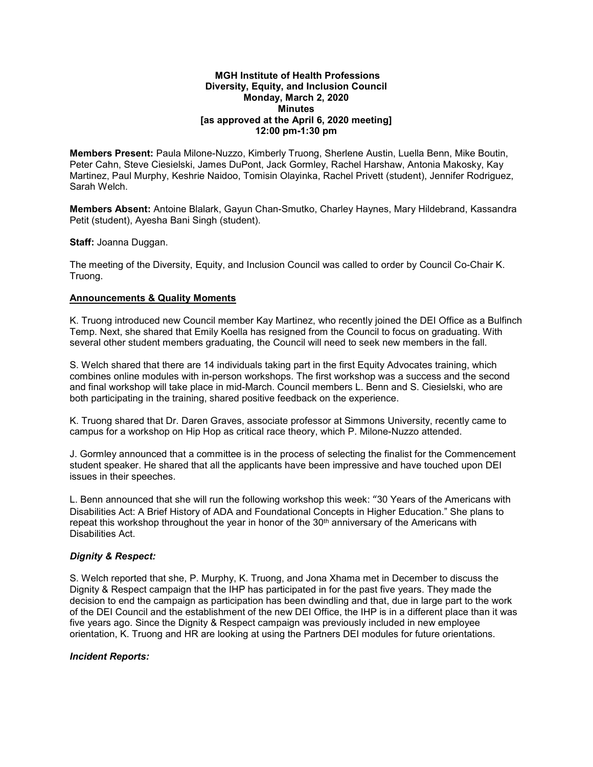#### **MGH Institute of Health Professions Diversity, Equity, and Inclusion Council Monday, March 2, 2020 Minutes [as approved at the April 6, 2020 meeting] 12:00 pm-1:30 pm**

**Members Present:** Paula Milone-Nuzzo, Kimberly Truong, Sherlene Austin, Luella Benn, Mike Boutin, Peter Cahn, Steve Ciesielski, James DuPont, Jack Gormley, Rachel Harshaw, Antonia Makosky, Kay Martinez, Paul Murphy, Keshrie Naidoo, Tomisin Olayinka, Rachel Privett (student), Jennifer Rodriguez, Sarah Welch.

**Members Absent:** Antoine Blalark, Gayun Chan-Smutko, Charley Haynes, Mary Hildebrand, Kassandra Petit (student), Ayesha Bani Singh (student).

**Staff:** Joanna Duggan.

The meeting of the Diversity, Equity, and Inclusion Council was called to order by Council Co-Chair K. Truong.

### **Announcements & Quality Moments**

K. Truong introduced new Council member Kay Martinez, who recently joined the DEI Office as a Bulfinch Temp. Next, she shared that Emily Koella has resigned from the Council to focus on graduating. With several other student members graduating, the Council will need to seek new members in the fall.

S. Welch shared that there are 14 individuals taking part in the first Equity Advocates training, which combines online modules with in-person workshops. The first workshop was a success and the second and final workshop will take place in mid-March. Council members L. Benn and S. Ciesielski, who are both participating in the training, shared positive feedback on the experience.

K. Truong shared that Dr. Daren Graves, associate professor at Simmons University, recently came to campus for a workshop on Hip Hop as critical race theory, which P. Milone-Nuzzo attended.

J. Gormley announced that a committee is in the process of selecting the finalist for the Commencement student speaker. He shared that all the applicants have been impressive and have touched upon DEI issues in their speeches.

L. Benn announced that she will run the following workshop this week: "30 Years of the Americans with Disabilities Act: A Brief History of ADA and Foundational Concepts in Higher Education." She plans to repeat this workshop throughout the year in honor of the 30<sup>th</sup> anniversary of the Americans with Disabilities Act.

#### *Dignity & Respect:*

S. Welch reported that she, P. Murphy, K. Truong, and Jona Xhama met in December to discuss the Dignity & Respect campaign that the IHP has participated in for the past five years. They made the decision to end the campaign as participation has been dwindling and that, due in large part to the work of the DEI Council and the establishment of the new DEI Office, the IHP is in a different place than it was five years ago. Since the Dignity & Respect campaign was previously included in new employee orientation, K. Truong and HR are looking at using the Partners DEI modules for future orientations.

#### *Incident Reports:*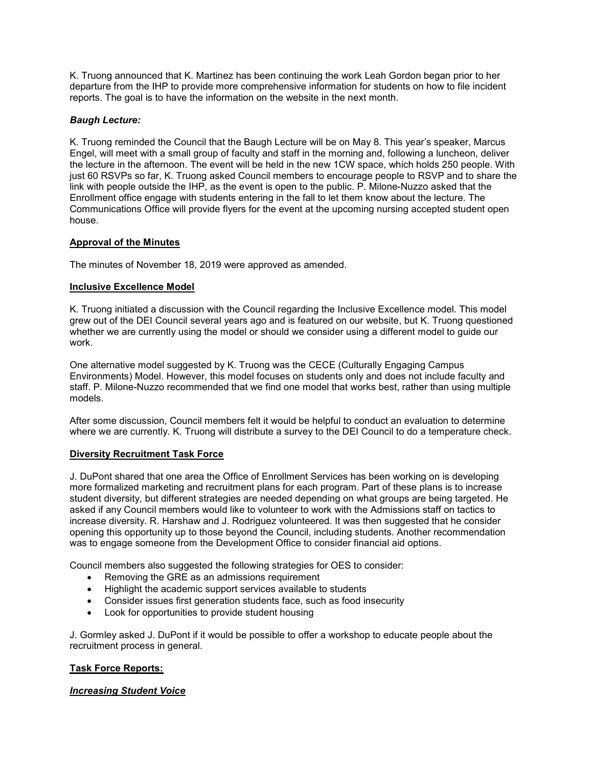K. Truong announced that K. Martinez has been continuing the work Leah Gordon began prior to her departure from the IHP to provide more comprehensive information for students on how to file incident reports. The goal is to have the information on the website in the next month.

## *Baugh Lecture:*

K. Truong reminded the Council that the Baugh Lecture will be on May 8. This year's speaker, Marcus Engel, will meet with a small group of faculty and staff in the morning and, following a luncheon, deliver the lecture in the afternoon. The event will be held in the new 1CW space, which holds 250 people. With just 60 RSVPs so far, K. Truong asked Council members to encourage people to RSVP and to share the link with people outside the IHP, as the event is open to the public. P. Milone-Nuzzo asked that the Enrollment office engage with students entering in the fall to let them know about the lecture. The Communications Office will provide flyers for the event at the upcoming nursing accepted student open house.

### **Approval of the Minutes**

The minutes of November 18, 2019 were approved as amended.

### **Inclusive Excellence Model**

K. Truong initiated a discussion with the Council regarding the Inclusive Excellence model. This model grew out of the DEI Council several years ago and is featured on our website, but K. Truong questioned whether we are currently using the model or should we consider using a different model to guide our work.

One alternative model suggested by K. Truong was the CECE (Culturally Engaging Campus Environments) Model. However, this model focuses on students only and does not include faculty and staff. P. Milone-Nuzzo recommended that we find one model that works best, rather than using multiple models.

After some discussion, Council members felt it would be helpful to conduct an evaluation to determine where we are currently. K. Truong will distribute a survey to the DEI Council to do a temperature check.

#### **Diversity Recruitment Task Force**

J. DuPont shared that one area the Office of Enrollment Services has been working on is developing more formalized marketing and recruitment plans for each program. Part of these plans is to increase student diversity, but different strategies are needed depending on what groups are being targeted. He asked if any Council members would like to volunteer to work with the Admissions staff on tactics to increase diversity. R. Harshaw and J. Rodriguez volunteered. It was then suggested that he consider opening this opportunity up to those beyond the Council, including students. Another recommendation was to engage someone from the Development Office to consider financial aid options.

Council members also suggested the following strategies for OES to consider:

- Removing the GRE as an admissions requirement
- Highlight the academic support services available to students
- Consider issues first generation students face, such as food insecurity
- Look for opportunities to provide student housing

J. Gormley asked J. DuPont if it would be possible to offer a workshop to educate people about the recruitment process in general.

# **Task Force Reports:**

# *Increasing Student Voice*